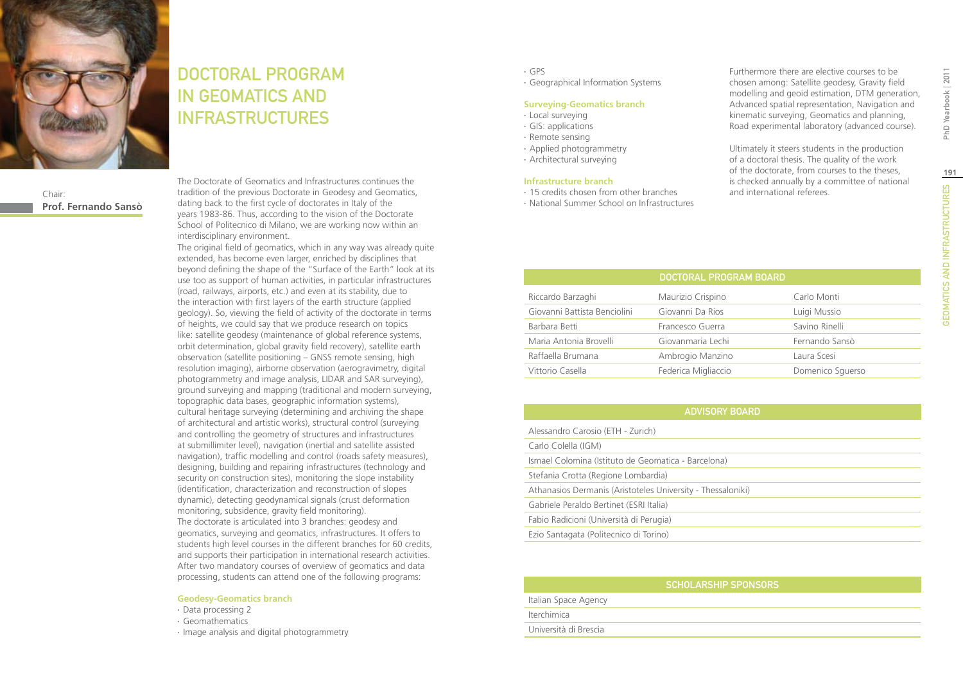

# DOCTORAL PROGRAM IN GEOMATICS AND INFRASTRUCTURES

Chair: **Prof. Fernando Sansò** The Doctorate of Geomatics and Infrastructures continues the tradition of the previous Doctorate in Geodesy and Geomatics, dating back to the first cycle of doctorates in Italy of the years 1983-86. Thus, according to the vision of the Doctorate School of Politecnico di Milano, we are working now within an interdisciplinary environment.

The original field of geomatics, which in any way was already quite extended, has become even larger, enriched by disciplines that beyond defining the shape of the "Surface of the Earth" look at its use too as support of human activities, in particular infrastructures (road, railways, airports, etc.) and even at its stability, due to the interaction with first layers of the earth structure (applied geology). So, viewing the field of activity of the doctorate in terms of heights, we could say that we produce research on topics like: satellite geodesy (maintenance of global reference systems, orbit determination, global gravity field recovery), satellite earth observation (satellite positioning – GNSS remote sensing, high resolution imaging), airborne observation (aerogravimetry, digital photogrammetry and image analysis, LIDAR and SAR surveying), ground surveying and mapping (traditional and modern surveying, topographic data bases, geographic information systems), cultural heritage surveying (determining and archiving the shape of architectural and artistic works), structural control (surveying and controlling the geometry of structures and infrastructures at submillimiter level), navigation (inertial and satellite assisted navigation), traffic modelling and control (roads safety measures), designing, building and repairing infrastructures (technology and security on construction sites), monitoring the slope instability (identification, characterization and reconstruction of slopes dynamic), detecting geodynamical signals (crust deformation monitoring, subsidence, gravity field monitoring). The doctorate is articulated into 3 branches: geodesy and geomatics, surveying and geomatics, infrastructures. It offers to students high level courses in the different branches for 60 credits, and supports their participation in international research activities. After two mandatory courses of overview of geomatics and data processing, students can attend one of the following programs:

#### **Geodesy-Geomatics branch**

- ∙ Data processing 2
- ∙ Geomathematics
- ∙ Image analysis and digital photogrammetry
- ∙ GPS
- ∙ Geographical Information Systems

#### **Surveying-Geomatics branch**

∙ Local surveying

- ∙ GIS: applications
- ∙ Remote sensing
- ∙ Applied photogrammetry
- ∙ Architectural surveying

#### **Infrastructure branch**

- ∙ 15 credits chosen from other branches
- ∙ National Summer School on Infrastructures

Furthermore there are elective courses to be chosen among: Satellite geodesy, Gravity field modelling and geoid estimation, DTM generation, Advanced spatial representation, Navigation and kinematic surveying, Geomatics and planning, Road experimental laboratory (advanced course).

Ultimately it steers students in the production of a doctoral thesis. The quality of the work of the doctorate, from courses to the theses, is checked annually by a committee of national and international referees.

|                              | DOCTORAL PROGRAM BOARD |                  |
|------------------------------|------------------------|------------------|
| Riccardo Barzaghi            | Maurizio Crispino      | Carlo Monti      |
| Giovanni Battista Benciolini | Giovanni Da Rios       | Luigi Mussio     |
| Barbara Betti                | Francesco Guerra       | Savino Rinelli   |
| Maria Antonia Brovelli       | Giovanmaria Lechi      | Fernando Sansò   |
| Raffaella Brumana            | Ambrogio Manzino       | Laura Scesi      |
| Vittorio Casella             | Federica Migliaccio    | Domenico Squerso |

| <b>ADVISORY BOARD</b>                                       |  |
|-------------------------------------------------------------|--|
| Alessandro Carosio (ETH - Zurich)                           |  |
| Carlo Colella (IGM)                                         |  |
| Ismael Colomina (Istituto de Geomatica - Barcelona)         |  |
| Stefania Crotta (Regione Lombardia)                         |  |
| Athanasios Dermanis (Aristoteles University - Thessaloniki) |  |
| Gabriele Peraldo Bertinet (ESRI Italia)                     |  |
| Fabio Radicioni (Università di Perugia)                     |  |
| Ezio Santagata (Politecnico di Torino)                      |  |

| <b>SCHOLARSHIP SPONSORS</b> |
|-----------------------------|
| Italian Space Agency        |
| Iterchimica                 |
| Università di Brescia       |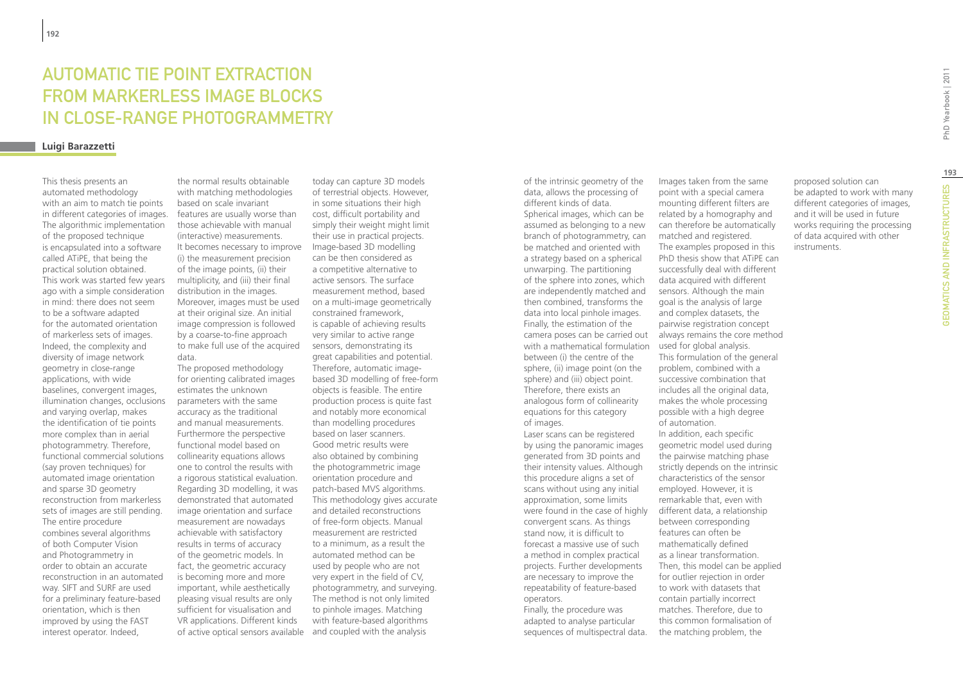# Automatic tie point extraction from markerless image blocks in close-range photogrammetry

#### **Luigi Barazzetti**

This thesis presents an automated methodology with an aim to match tie points in different categories of images. The algorithmic implementation of the proposed technique is encapsulated into a software called ATiPE, that being the practical solution obtained. This work was started few years ago with a simple consideration in mind: there does not seem to be a software adapted for the automated orientation of markerless sets of images. Indeed, the complexity and diversity of image network geometry in close-range applications, with wide baselines, convergent images, illumination changes, occlusions and varying overlap, makes the identification of tie points more complex than in aerial photogrammetry. Therefore, functional commercial solutions (say proven techniques) for automated image orientation and sparse 3D geometry reconstruction from markerless sets of images are still pending. The entire procedure combines several algorithms of both Computer Vision and Photogrammetry in order to obtain an accurate reconstruction in an automated way. SIFT and SURF are used for a preliminary feature-based orientation, which is then improved by using the FAST interest operator. Indeed,

the normal results obtainable with matching methodologies based on scale invariant features are usually worse than those achievable with manual (interactive) measurements. It becomes necessary to improve (i) the measurement precision of the image points, (ii) their multiplicity, and (iii) their final distribution in the images. Moreover, images must be used at their original size. An initial image compression is followed by a coarse-to-fine approach to make full use of the acquired data.

The proposed methodology for orienting calibrated images estimates the unknown parameters with the same accuracy as the traditional and manual measurements. Furthermore the perspective functional model based on collinearity equations allows one to control the results with a rigorous statistical evaluation. Regarding 3D modelling, it was demonstrated that automated image orientation and surface measurement are nowadays achievable with satisfactory results in terms of accuracy of the geometric models. In fact, the geometric accuracy is becoming more and more important, while aesthetically pleasing visual results are only sufficient for visualisation and VR applications. Different kinds of active optical sensors available and coupled with the analysis

today can capture 3D models of terrestrial objects. However, in some situations their high cost, difficult portability and simply their weight might limit their use in practical projects. Image-based 3D modelling can be then considered as a competitive alternative to active sensors. The surface measurement method, based on a multi-image geometrically constrained framework, is capable of achieving results very similar to active range sensors, demonstrating its great capabilities and potential. Therefore, automatic imagebased 3D modelling of free-form objects is feasible. The entire production process is quite fast and notably more economical than modelling procedures based on laser scanners. Good metric results were also obtained by combining the photogrammetric image orientation procedure and patch-based MVS algorithms. This methodology gives accurate and detailed reconstructions of free-form objects. Manual measurement are restricted to a minimum, as a result the automated method can be used by people who are not very expert in the field of CV, photogrammetry, and surveying. The method is not only limited to pinhole images. Matching with feature-based algorithms

of the intrinsic geometry of the data, allows the processing of different kinds of data. Spherical images, which can be assumed as belonging to a new branch of photogrammetry, can be matched and oriented with a strategy based on a spherical unwarping. The partitioning of the sphere into zones, which are independently matched and then combined, transforms the data into local pinhole images. Finally, the estimation of the camera poses can be carried out with a mathematical formulation between (i) the centre of the sphere, (ii) image point (on the sphere) and (iii) object point. Therefore, there exists an analogous form of collinearity equations for this category of images. Laser scans can be registered

by using the panoramic images generated from 3D points and their intensity values. Although this procedure aligns a set of scans without using any initial approximation, some limits were found in the case of highly convergent scans. As things stand now, it is difficult to forecast a massive use of such a method in complex practical projects. Further developments are necessary to improve the repeatability of feature-based operators.

Finally, the procedure was adapted to analyse particular sequences of multispectral data.

Images taken from the same point with a special camera mounting different filters are related by a homography and can therefore be automatically matched and registered. The examples proposed in this PhD thesis show that ATiPE can successfully deal with different data acquired with different sensors. Although the main goal is the analysis of large and complex datasets, the pairwise registration concept always remains the core method used for global analysis. This formulation of the general problem, combined with a successive combination that includes all the original data, makes the whole processing possible with a high degree of automation. In addition, each specific geometric model used during the pairwise matching phase strictly depends on the intrinsic characteristics of the sensor employed. However, it is remarkable that, even with different data, a relationship between corresponding features can often be mathematically defined as a linear transformation. Then, this model can be applied for outlier rejection in order to work with datasets that contain partially incorrect

matches. Therefore, due to this common formalisation of the matching problem, the

proposed solution can be adapted to work with many different categories of images, and it will be used in future works requiring the processing of data acquired with other instruments.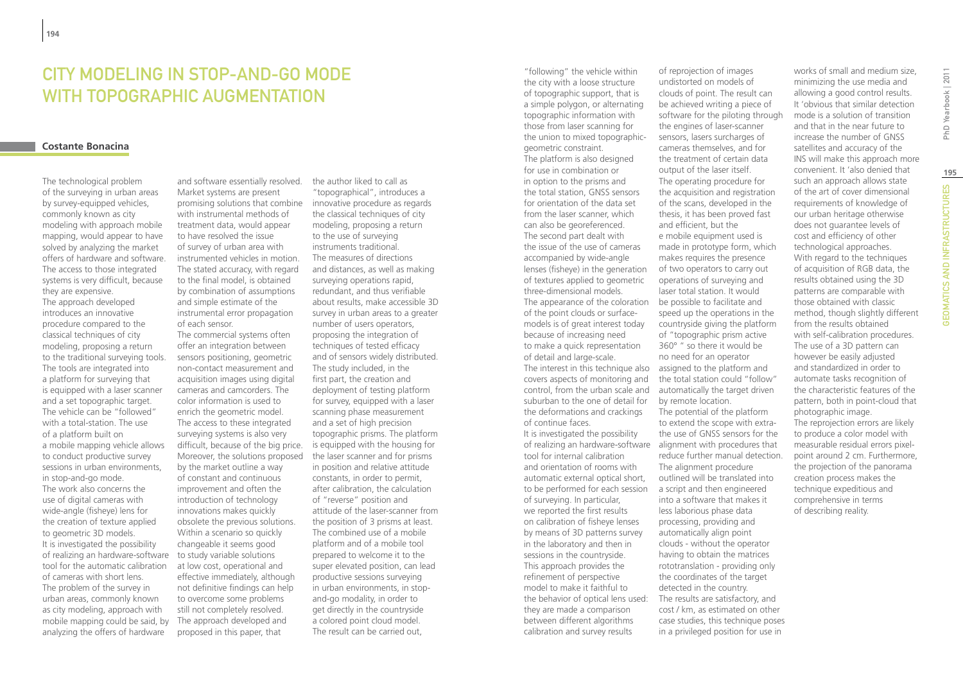## CITY MODELING IN STOP-AND-GO MODE WITH TOPOGRAPHIC AUGMENTATION

#### **Costante Bonacina**

The technological problem of the surveying in urban areas by survey-equipped vehicles, commonly known as city modeling with approach mobile mapping, would appear to have solved by analyzing the market offers of hardware and software. The access to those integrated systems is very difficult, because they are expensive. The approach developed introduces an innovative procedure compared to the classical techniques of city modeling, proposing a return to the traditional surveying tools. The tools are integrated into a platform for surveying that is equipped with a laser scanner and a set topographic target. The vehicle can be "followed" with a total-station. The use of a platform built on a mobile mapping vehicle allows to conduct productive survey sessions in urban environments, in stop-and-go mode. The work also concerns the use of digital cameras with wide-angle (fisheye) lens for the creation of texture applied

to geometric 3D models. It is investigated the possibility of realizing an hardware-software tool for the automatic calibration of cameras with short lens. The problem of the survey in urban areas, commonly known as city modeling, approach with mobile mapping could be said, by analyzing the offers of hardware

and software essentially resolved. Market systems are present promising solutions that combine with instrumental methods of treatment data, would appear to have resolved the issue of survey of urban area with instrumented vehicles in motion. The stated accuracy, with regard to the final model, is obtained by combination of assumptions and simple estimate of the instrumental error propagation of each sensor.

The commercial systems often offer an integration between sensors positioning, geometric non-contact measurement and acquisition images using digital cameras and camcorders. The color information is used to enrich the geometric model. The access to these integrated surveying systems is also very difficult, because of the big price. Moreover, the solutions proposed by the market outline a way of constant and continuous improvement and often the introduction of technology innovations makes quickly obsolete the previous solutions. Within a scenario so quickly changeable it seems good to study variable solutions at low cost, operational and effective immediately, although not definitive findings can help to overcome some problems still not completely resolved. The approach developed and proposed in this paper, that

the author liked to call as "topographical", introduces a innovative procedure as regards the classical techniques of city modeling, proposing a return to the use of surveying instruments traditional. The measures of directions and distances, as well as making surveying operations rapid, redundant, and thus verifiable about results, make accessible 3D survey in urban areas to a greater number of users operators, proposing the integration of techniques of tested efficacy and of sensors widely distributed. The study included, in the first part, the creation and deployment of testing platform for survey, equipped with a laser scanning phase measurement and a set of high precision topographic prisms. The platform is equipped with the housing for the laser scanner and for prisms in position and relative attitude constants, in order to permit, after calibration, the calculation of "reverse" position and attitude of the laser-scanner from the position of 3 prisms at least. The combined use of a mobile platform and of a mobile tool prepared to welcome it to the super elevated position, can lead productive sessions surveying in urban environments, in stopand-go modality, in order to get directly in the countryside a colored point cloud model. The result can be carried out,

"following" the vehicle within the city with a loose structure of topographic support, that is a simple polygon, or alternating topographic information with those from laser scanning for the union to mixed topographicgeometric constraint. The platform is also designed for use in combination or in option to the prisms and the total station, GNSS sensors for orientation of the data set from the laser scanner, which can also be georeferenced. The second part dealt with the issue of the use of cameras accompanied by wide-angle lenses (fisheye) in the generation of textures applied to geometric three-dimensional models. The appearance of the coloration be possible to facilitate and of the point clouds or surfacemodels is of great interest today because of increasing need to make a quick representation of detail and large-scale. The interest in this technique also assigned to the platform and covers aspects of monitoring and control, from the urban scale and suburban to the one of detail for the deformations and crackings of continue faces. It is investigated the possibility of realizing an hardware-software alignment with procedures that tool for internal calibration and orientation of rooms with automatic external optical short, to be performed for each session of surveying. In particular, we reported the first results on calibration of fisheye lenses by means of 3D patterns survey in the laboratory and then in sessions in the countryside. This approach provides the refinement of perspective model to make it faithful to the behavior of optical lens used: they are made a comparison between different algorithms calibration and survey results

of reprojection of images undistorted on models of clouds of point. The result can be achieved writing a piece of software for the piloting through the engines of laser-scanner sensors, lasers surcharges of cameras themselves, and for the treatment of certain data output of the laser itself. The operating procedure for the acquisition and registration of the scans, developed in the thesis, it has been proved fast and efficient, but the e mobile equipment used is made in prototype form, which makes requires the presence of two operators to carry out operations of surveying and laser total station. It would speed up the operations in the countryside giving the platform of "topographic prism active 360° " so there it would be no need for an operator the total station could "follow" automatically the target driven by remote location. The potential of the platform to extend the scope with extrathe use of GNSS sensors for the reduce further manual detection. The alignment procedure outlined will be translated into a script and then engineered into a software that makes it less laborious phase data processing, providing and automatically align point clouds - without the operator having to obtain the matrices rototranslation - providing only the coordinates of the target detected in the country. The results are satisfactory, and cost / km, as estimated on other case studies, this technique poses in a privileged position for use in

works of small and medium size, minimizing the use media and allowing a good control results. It 'obvious that similar detection mode is a solution of transition and that in the near future to increase the number of GNSS satellites and accuracy of the INS will make this approach more convenient. It 'also denied that such an approach allows state of the art of cover dimensional requirements of knowledge of our urban heritage otherwise does not guarantee levels of cost and efficiency of other technological approaches. With regard to the techniques of acquisition of RGB data, the results obtained using the 3D patterns are comparable with those obtained with classic method, though slightly different from the results obtained with self-calibration procedures. The use of a 3D pattern can however be easily adjusted and standardized in order to automate tasks recognition of the characteristic features of the pattern, both in point-cloud that photographic image. The reprojection errors are likely to produce a color model with measurable residual errors pixelpoint around 2 cm. Furthermore, the projection of the panorama creation process makes the technique expeditious and comprehensive in terms of describing reality.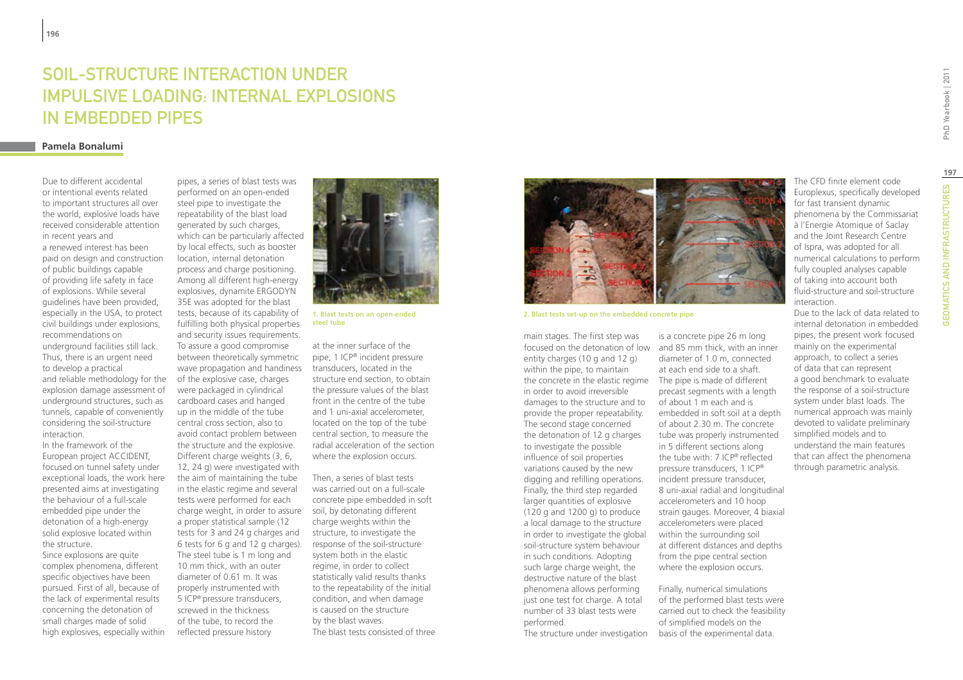# Soil-structure interaction under impulsive loading: internal explosions in embedded pipes

#### **Pamela Bonalumi**

Due to different accidental or intentional events related to important structures all over the world, explosive loads have received considerable attention in recent years and a renewed interest has been paid on design and construction of public buildings capable of providing life safety in face of explosions. While several guidelines have been provided, especially in the USA, to protect civil buildings under explosions, recommendations on underground facilities still lack. Thus, there is an urgent need to develop a practical and reliable methodology for the explosion damage assessment of underground structures, such as tunnels, capable of conveniently considering the soil-structure interaction.

In the framework of the European project ACCIDENT, focused on tunnel safety under exceptional loads, the work here presented aims at investigating the behaviour of a full-scale embedded pipe under the detonation of a high-energy solid explosive located within the structure.

Since explosions are quite complex phenomena, different specific objectives have been pursued. First of all, because of the lack of experimental results concerning the detonation of small charges made of solid high explosives, especially within

pipes, a series of blast tests was performed on an open-ended steel pipe to investigate the repeatability of the blast load generated by such charges, which can be particularly affected by local effects, such as booster location, internal detonation process and charge positioning. Among all different high-energy explosives, dynamite ERGODYN 35E was adopted for the blast tests, because of its capability of fulfilling both physical properties and security issues requirements. To assure a good compromise between theoretically symmetric wave propagation and handiness of the explosive case, charges were packaged in cylindrical cardboard cases and hanged up in the middle of the tube central cross section, also to avoid contact problem between the structure and the explosive. Different charge weights (3, 6, 12, 24 g) were investigated with the aim of maintaining the tube in the elastic regime and several tests were performed for each charge weight, in order to assure a proper statistical sample (12 tests for 3 and 24 g charges and 6 tests for 6 g and 12 g charges). The steel tube is 1 m long and 10 mm thick, with an outer diameter of 0.61 m. It was properly instrumented with 5 ICP® pressure transducers, screwed in the thickness of the tube, to record the reflected pressure history



**1. Blast tests on an open-ended steel tube**

at the inner surface of the pipe; 1 ICP® incident pressure transducers, located in the structure end section, to obtain the pressure values of the blast front in the centre of the tube and 1 uni-axial accelerometer, located on the top of the tube central section, to measure the radial acceleration of the section where the explosion occurs.

Then, a series of blast tests was carried out on a full-scale concrete pipe embedded in soft soil, by detonating different charge weights within the structure, to investigate the response of the soil-structure system both in the elastic regime, in order to collect statistically valid results thanks to the repeatability of the initial condition, and when damage is caused on the structure by the blast waves. The blast tests consisted of three



is a concrete pipe 26 m long

diameter of 1.0 m, connected at each end side to a shaft.

precast segments with a length of about 1 m each and is embedded in soft soil at a depth of about 2.30 m. The concrete tube was properly instrumented in 5 different sections along the tube with: 7 ICP® reflected pressure transducers, 1 ICP® incident pressure transducer, 8 uni-axial radial and longitudinal accelerometers and 10 hoop strain gauges. Moreover, 4 biaxial accelerometers were placed within the surrounding soil at different distances and depths from the pipe central section where the explosion occurs.

Finally, numerical simulations of the performed blast tests were carried out to check the feasibility of simplified models on the basis of the experimental data.

**2. Blast tests set-up on the embedded concrete pipe**

main stages. The first step was focused on the detonation of low and 85 mm thick, with an inner entity charges (10 g and 12 g) within the pipe, to maintain the concrete in the elastic regime The pipe is made of different in order to avoid irreversible damages to the structure and to provide the proper repeatability. The second stage concerned the detonation of 12 g charges to investigate the possible influence of soil properties variations caused by the new digging and refilling operations. Finally, the third step regarded larger quantities of explosive (120 g and 1200 g) to produce a local damage to the structure in order to investigate the global soil-structure system behaviour in such conditions. Adopting such large charge weight, the destructive nature of the blast phenomena allows performing just one test for charge. A total number of 33 blast tests were performed.

The structure under investigation

Europlexus, specifically developed for fast transient dynamic phenomena by the Commissariat à l'Energie Atomique of Saclay and the Joint Research Centre of Ispra, was adopted for all numerical calculations to perform fully coupled analyses capable of taking into account both fluid-structure and soil-structure interaction.

The CFD finite element code

Due to the lack of data related to internal detonation in embedded pipes, the present work focused mainly on the experimental approach, to collect a series of data that can represent a good benchmark to evaluate the response of a soil-structure system under blast loads. The numerical approach was mainly devoted to validate preliminary simplified models and to understand the main features that can affect the phenomena through parametric analysis.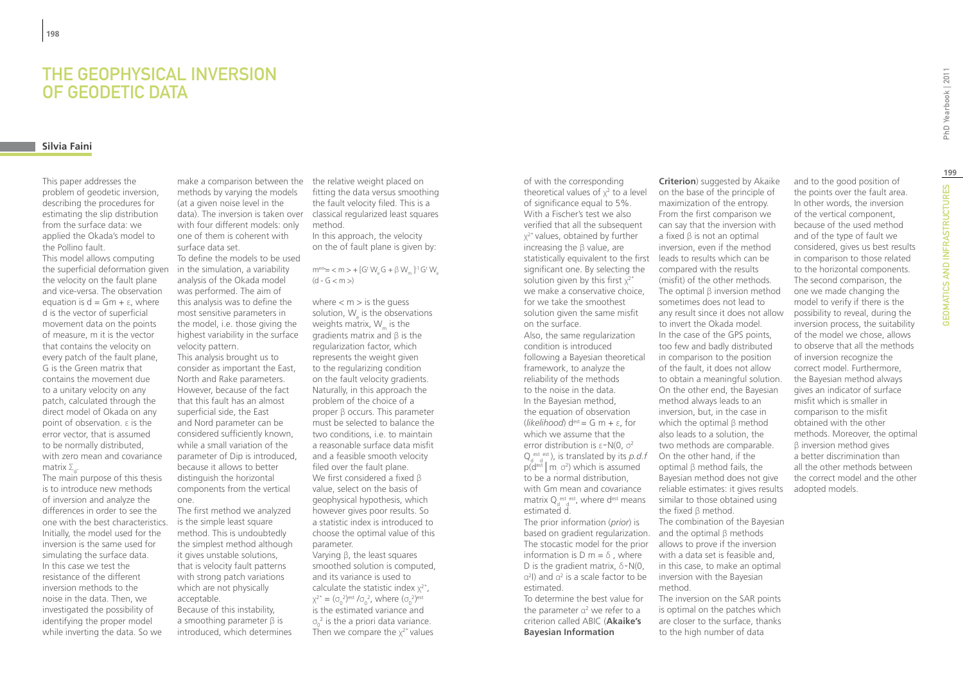### The geophysical inversion of geodetic data

### **Silvia Faini**

This paper addresses the problem of geodetic inversion, describing the procedures for estimating the slip distribution from the surface data: we applied the Okada's model to the Pollino fault.

This model allows computing the superficial deformation given the velocity on the fault plane and vice-versa. The observation equation is  $d = Gm + \varepsilon$ , where d is the vector of superficial movement data on the points of measure, m it is the vector that contains the velocity on every patch of the fault plane, G is the Green matrix that contains the movement due to a unitary velocity on any patch, calculated through the direct model of Okada on any point of observation. ε is the error vector, that is assumed to be normally distributed, with zero mean and covariance matrix  $\Sigma_{\sf d}^{\vphantom{\dagger}}$ .

The main purpose of this thesis is to introduce new methods of inversion and analyze the differences in order to see the one with the best characteristics. Initially, the model used for the inversion is the same used for simulating the surface data. In this case we test the resistance of the different inversion methods to the noise in the data. Then, we investigated the possibility of identifying the proper model while inverting the data. So we

make a comparison between the the relative weight placed on methods by varying the models (at a given noise level in the with four different models: only one of them is coherent with surface data set.

To define the models to be used in the simulation, a variability analysis of the Okada model was performed. The aim of this analysis was to define the most sensitive parameters in the model, i.e. those giving the highest variability in the surface velocity pattern.

This analysis brought us to consider as important the East, North and Rake parameters. However, because of the fact that this fault has an almost superficial side, the East and Nord parameter can be considered sufficiently known, while a small variation of the parameter of Dip is introduced, because it allows to better distinguish the horizontal components from the vertical one.

The first method we analyzed is the simple least square method. This is undoubtedly the simplest method although it gives unstable solutions, that is velocity fault patterns with strong patch variations which are not physically acceptable.

Because of this instability, a smoothing parameter  $β$  is introduced, which determines

data). The inversion is taken over classical regularized least squares fitting the data versus smoothing the fault velocity filed. This is a method.

> In this approach, the velocity on the of fault plane is given by:

#### $m<sup>est</sup>= < m > + [G<sup>t</sup> W<sub>e</sub> G + β W<sub>m</sub>]<sup>-1</sup>G<sup>t</sup> W<sub>e</sub>$  $(d - G < m>)$

where  $<$  m  $>$  is the guess solution, W<sub>e</sub> is the observations weights matrix, We is the gradients matrix and β is the regularization factor, which represents the weight given to the regularizing condition on the fault velocity gradients. Naturally, in this approach the problem of the choice of a proper β occurs. This parameter must be selected to balance the two conditions, i.e. to maintain a reasonable surface data misfit and a feasible smooth velocity filed over the fault plane. We first considered a fixed β value, select on the basis of geophysical hypothesis, which however gives poor results. So a statistic index is introduced to choose the optimal value of this parameter. Varying β, the least squares smoothed solution is computed, and its variance is used to calculate the statistic index  $x^{2^*}$ ,  $\chi^{2^*} = (\sigma_0^2)^{\text{est}} / \sigma_0^2$ , where  $(\sigma_0^2)^{\text{est}}$ is the estimated variance and

 $\sigma_0^2$  is the a priori data variance. Then we compare the  $x^2$ <sup>\*</sup> values of with the corresponding theoretical values of  $x^2$  to a level of significance equal to 5%. With a Fischer's test we also verified that all the subsequent χ2\* values, obtained by further increasing the β value, are statistically equivalent to the first leads to results which can be significant one. By selecting the solution given by this first  $x^{2^*}$ we make a conservative choice, for we take the smoothest solution given the same misfit on the surface. Also, the same regularization condition is introduced following a Bayesian theoretical framework, to analyze the

reliability of the methods to the noise in the data. In the Bayesian method, the equation of observation  $(likelihood)$  d<sup>est</sup> = G m + ε, for which we assume that the error distribution is  $\varepsilon \sim N(0, \sigma^2)$  $Q_{d-d}^{\text{est est}}$ ), is translated by its *p.d.f*  $p(d<sup>est</sup> | m<sub>j</sub> \sigma<sup>2</sup>)$  which is assumed to be a normal distribution, with Gm mean and covariance matrix  $Q_d^{\text{ est est}}$ , where d<sup>est</sup> means estimated d.

The prior information (*prior*) is based on gradient regularization. and the optimal β methods The stocastic model for the prior information is D m =  $\delta$ , where D is the gradient matrix,  $\delta \sim N(0, 1)$  $\alpha^2$ I) and  $\alpha^2$  is a scale factor to be inversion with the Bayesian estimated.

To determine the best value for the parameter  $\alpha^2$  we refer to a criterion called ABIC (**Akaike's Bayesian Information** 

**Criterion**) suggested by Akaike on the base of the principle of maximization of the entropy. From the first comparison we can say that the inversion with a fixed β is not an optimal inversion, even if the method compared with the results (misfit) of the other methods. The optimal β inversion method sometimes does not lead to any result since it does not allow to invert the Okada model. In the case of the GPS points, too few and badly distributed in comparison to the position of the fault, it does not allow to obtain a meaningful solution. On the other end, the Bayesian method always leads to an inversion, but, in the case in which the optimal β method also leads to a solution, the two methods are comparable. On the other hand, if the optimal β method fails, the Bayesian method does not give reliable estimates: it gives results similar to those obtained using the fixed β method. The combination of the Bayesian allows to prove if the inversion with a data set is feasible and,

in this case, to make an optimal method.

The inversion on the SAR points is optimal on the patches which are closer to the surface, thanks to the high number of data

and to the good position of the points over the fault area. In other words, the inversion of the vertical component, because of the used method and of the type of fault we considered, gives us best results in comparison to those related to the horizontal components. The second comparison, the one we made changing the model to verify if there is the possibility to reveal, during the inversion process, the suitability of the model we chose, allows to observe that all the methods of inversion recognize the correct model. Furthermore, the Bayesian method always gives an indicator of surface misfit which is smaller in comparison to the misfit obtained with the other methods. Moreover, the optimal β inversion method gives a better discrimination than all the other methods between the correct model and the other adopted models.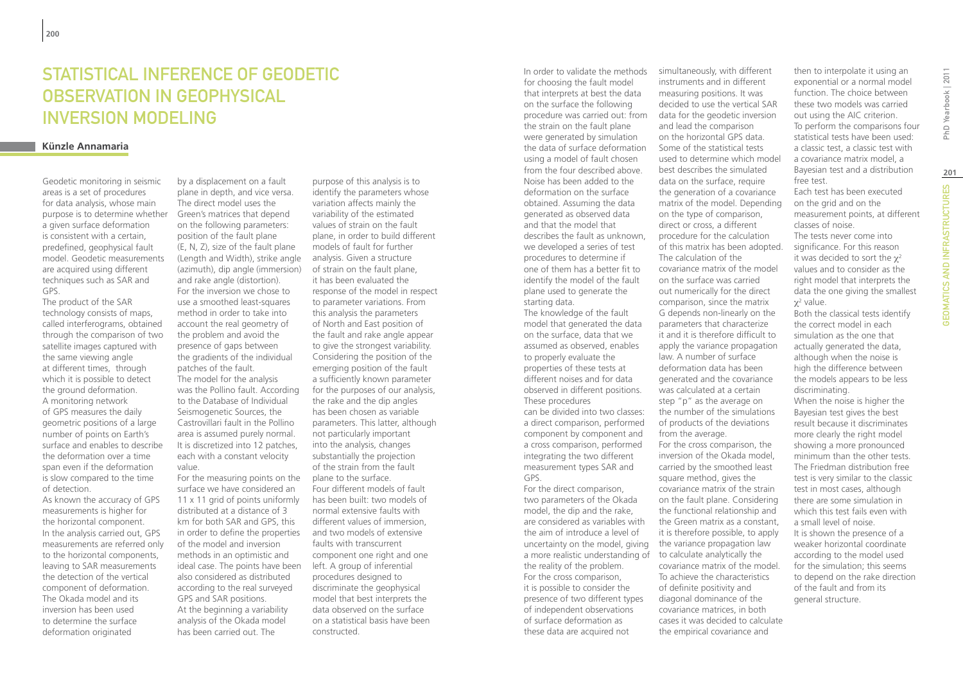## Statistical inference of geodetic observation in geophysical inversion modeling

#### **Künzle Annamaria**

Geodetic monitoring in seismic areas is a set of procedures for data analysis, whose main purpose is to determine whether a given surface deformation is consistent with a certain, predefined, geophysical fault model. Geodetic measurements are acquired using different techniques such as SAR and GPS.

The product of the SAR technology consists of maps, called interferograms, obtained through the comparison of two satellite images captured with the same viewing angle at different times, through which it is possible to detect the ground deformation. A monitoring network of GPS measures the daily geometric positions of a large number of points on Earth's surface and enables to describe the deformation over a time span even if the deformation is slow compared to the time of detection.

As known the accuracy of GPS measurements is higher for the horizontal component. In the analysis carried out, GPS measurements are referred only to the horizontal components, leaving to SAR measurements the detection of the vertical component of deformation. The Okada model and its inversion has been used to determine the surface deformation originated

by a displacement on a fault plane in depth, and vice versa. The direct model uses the Green's matrices that depend on the following parameters: position of the fault plane (E, N, Z), size of the fault plane (Length and Width), strike angle (azimuth), dip angle (immersion) and rake angle (distortion). For the inversion we chose to use a smoothed least-squares method in order to take into account the real geometry of the problem and avoid the presence of gaps between the gradients of the individual patches of the fault. The model for the analysis was the Pollino fault. According to the Database of Individual Seismogenetic Sources, the Castrovillari fault in the Pollino area is assumed purely normal. It is discretized into 12 patches, each with a constant velocity value. For the measuring points on the surface we have considered an

11 x 11 grid of points uniformly distributed at a distance of 3 km for both SAR and GPS, this in order to define the properties of the model and inversion methods in an optimistic and ideal case. The points have been also considered as distributed according to the real surveyed GPS and SAR positions. At the beginning a variability analysis of the Okada model has been carried out. The

purpose of this analysis is to identify the parameters whose variation affects mainly the variability of the estimated values of strain on the fault plane, in order to build different models of fault for further analysis. Given a structure of strain on the fault plane, it has been evaluated the response of the model in respect to parameter variations. From this analysis the parameters of North and East position of the fault and rake angle appear to give the strongest variability. Considering the position of the emerging position of the fault a sufficiently known parameter for the purposes of our analysis, the rake and the dip angles has been chosen as variable parameters. This latter, although not particularly important into the analysis, changes substantially the projection of the strain from the fault plane to the surface. Four different models of fault has been built: two models of normal extensive faults with different values of immersion, and two models of extensive faults with transcurrent component one right and one left. A group of inferential procedures designed to discriminate the geophysical model that best interprets the data observed on the surface on a statistical basis have been constructed.

In order to validate the methods for choosing the fault model that interprets at best the data on the surface the following procedure was carried out: from the strain on the fault plane were generated by simulation the data of surface deformation using a model of fault chosen from the four described above. Noise has been added to the deformation on the surface obtained. Assuming the data generated as observed data and that the model that describes the fault as unknown, we developed a series of test procedures to determine if one of them has a better fit to identify the model of the fault plane used to generate the starting data.

The knowledge of the fault model that generated the data on the surface, data that we assumed as observed, enables to properly evaluate the properties of these tests at different noises and for data observed in different positions. These procedures can be divided into two classes: a direct comparison, performed component by component and a cross comparison, performed integrating the two different measurement types SAR and GPS.

For the direct comparison, two parameters of the Okada model, the dip and the rake, are considered as variables with the aim of introduce a level of uncertainty on the model, giving a more realistic understanding of to calculate analytically the the reality of the problem. For the cross comparison, it is possible to consider the presence of two different types of independent observations of surface deformation as these data are acquired not

simultaneously, with different instruments and in different measuring positions. It was decided to use the vertical SAR data for the geodetic inversion and lead the comparison on the horizontal GPS data. Some of the statistical tests used to determine which model best describes the simulated data on the surface, require the generation of a covariance matrix of the model. Depending on the type of comparison, direct or cross, a different procedure for the calculation of this matrix has been adopted. The calculation of the covariance matrix of the model on the surface was carried out numerically for the direct comparison, since the matrix G depends non-linearly on the parameters that characterize it and it is therefore difficult to apply the variance propagation law. A number of surface deformation data has been generated and the covariance was calculated at a certain step "p" as the average on the number of the simulations of products of the deviations from the average. For the cross comparison, the inversion of the Okada model, carried by the smoothed least square method, gives the covariance matrix of the strain on the fault plane. Considering the functional relationship and the Green matrix as a constant, it is therefore possible, to apply the variance propagation law covariance matrix of the model. To achieve the characteristics of definite positivity and diagonal dominance of the covariance matrices, in both cases it was decided to calculate

the empirical covariance and

then to interpolate it using an exponential or a normal model function. The choice between these two models was carried out using the AIC criterion. To perform the comparisons four statistical tests have been used: a classic test, a classic test with a covariance matrix model, a Bayesian test and a distribution free test.

Each test has been executed on the grid and on the measurement points, at different classes of noise. The tests never come into significance. For this reason it was decided to sort the  $\chi^2$ values and to consider as the right model that interprets the data the one giving the smallest  $\chi^2$  value.

Both the classical tests identify the correct model in each simulation as the one that actually generated the data, although when the noise is high the difference between the models appears to be less discriminating.

When the noise is higher the Bayesian test gives the best result because it discriminates more clearly the right model showing a more pronounced minimum than the other tests. The Friedman distribution free test is very similar to the classic test in most cases, although there are some simulation in which this test fails even with a small level of noise. It is shown the presence of a weaker horizontal coordinate according to the model used for the simulation; this seems to depend on the rake direction of the fault and from its general structure.

**201**

**GEOMATICS AND INFRASTRUCTURES**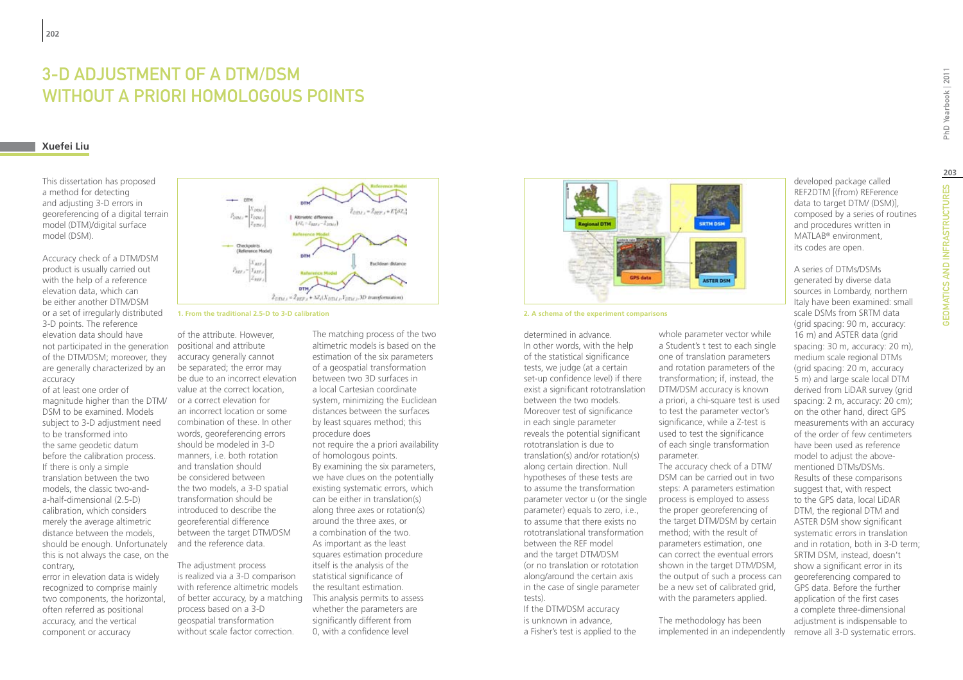# 3-D adjustment of a DTM/DSM WITHOUT A PRIORI HOMOLOGOUS POINTS

### **Xuefei Liu**

This dissertation has proposed a method for detecting and adjusting 3-D errors in georeferencing of a digital terrain model (DTM)/digital surface model (DSM).

Accuracy check of a DTM/DSM product is usually carried out with the help of a reference elevation data, which can be either another DTM/DSM or a set of irregularly distributed 3-D points. The reference elevation data should have not participated in the generation of the DTM/DSM; moreover, they are generally characterized by an accuracy

of at least one order of magnitude higher than the DTM/ DSM to be examined. Models subject to 3-D adjustment need to be transformed into the same geodetic datum before the calibration process. If there is only a simple translation between the two models, the classic two-anda-half-dimensional (2.5-D) calibration, which considers merely the average altimetric distance between the models, should be enough. Unfortunately this is not always the case, on the contrary,

error in elevation data is widely recognized to comprise mainly two components, the horizontal, often referred as positional accuracy, and the vertical component or accuracy



**1. From the traditional 2.5-D to 3-D calibration**

of the attribute. However, positional and attribute accuracy generally cannot be separated; the error may be due to an incorrect elevation value at the correct location, or a correct elevation for an incorrect location or some combination of these. In other words, georeferencing errors should be modeled in 3-D manners, i.e. both rotation and translation should be considered between the two models, a 3-D spatial transformation should be introduced to describe the georeferential difference between the target DTM/DSM and the reference data.

The adjustment process is realized via a 3-D comparison with reference altimetric models of better accuracy, by a matching process based on a 3-D geospatial transformation without scale factor correction

The matching process of the two altimetric models is based on the estimation of the six parameters of a geospatial transformation between two 3D surfaces in a local Cartesian coordinate system, minimizing the Euclidean distances between the surfaces by least squares method; this procedure does not require the a priori availability of homologous points. By examining the six parameters, we have clues on the potentially existing systematic errors, which can be either in translation(s) along three axes or rotation(s) around the three axes, or a combination of the two. As important as the least squares estimation procedure itself is the analysis of the statistical significance of the resultant estimation. This analysis permits to assess whether the parameters are significantly different from 0, with a confidence level



**2. A schema of the experiment comparisons**

determined in advance. In other words, with the help of the statistical significance tests, we judge (at a certain set-up confidence level) if there exist a significant rototranslation between the two models. Moreover test of significance in each single parameter reveals the potential significant rototranslation is due to translation(s) and/or rotation(s) along certain direction. Null hypotheses of these tests are to assume the transformation parameter vector u (or the single parameter) equals to zero, i.e., to assume that there exists no rototranslational transformation between the REF model and the target DTM/DSM (or no translation or rototation along/around the certain axis in the case of single parameter tests).

If the DTM/DSM accuracy is unknown in advance, a Fisher's test is applied to the

whole parameter vector while a Student's t test to each single one of translation parameters and rotation parameters of the transformation; if, instead, the DTM/DSM accuracy is known a priori, a chi-square test is used to test the parameter vector's significance, while a Z-test is used to test the significance of each single transformation parameter.

The accuracy check of a DTM/ DSM can be carried out in two steps: A parameters estimation process is employed to assess the proper georeferencing of the target DTM/DSM by certain method; with the result of parameters estimation, one can correct the eventual errors shown in the target DTM/DSM, the output of such a process can be a new set of calibrated grid, with the parameters applied.

The methodology has been implemented in an independently

developed package called REF2DTM [(from) REFerence data to target DTM/ (DSM)], composed by a series of routines and procedures written in MATLAB® environment, its codes are open.

A series of DTMs/DSMs generated by diverse data sources in Lombardy, northern Italy have been examined: small scale DSMs from SRTM data (grid spacing: 90 m, accuracy: 16 m) and ASTER data (grid spacing: 30 m, accuracy: 20 m), medium scale regional DTMs (grid spacing: 20 m, accuracy 5 m) and large scale local DTM derived from LiDAR survey (grid spacing: 2 m, accuracy: 20 cm); on the other hand, direct GPS measurements with an accuracy of the order of few centimeters have been used as reference model to adjust the abovementioned DTMs/DSMs. Results of these comparisons suggest that, with respect to the GPS data, local LiDAR DTM, the regional DTM and ASTER DSM show significant systematic errors in translation and in rotation, both in 3-D term; SRTM DSM, instead, doesn't show a significant error in its georeferencing compared to GPS data. Before the further application of the first cases a complete three-dimensional adjustment is indispensable to remove all 3-D systematic errors.

**203**

**GEOMATICS AND INFRASTRUCTURES**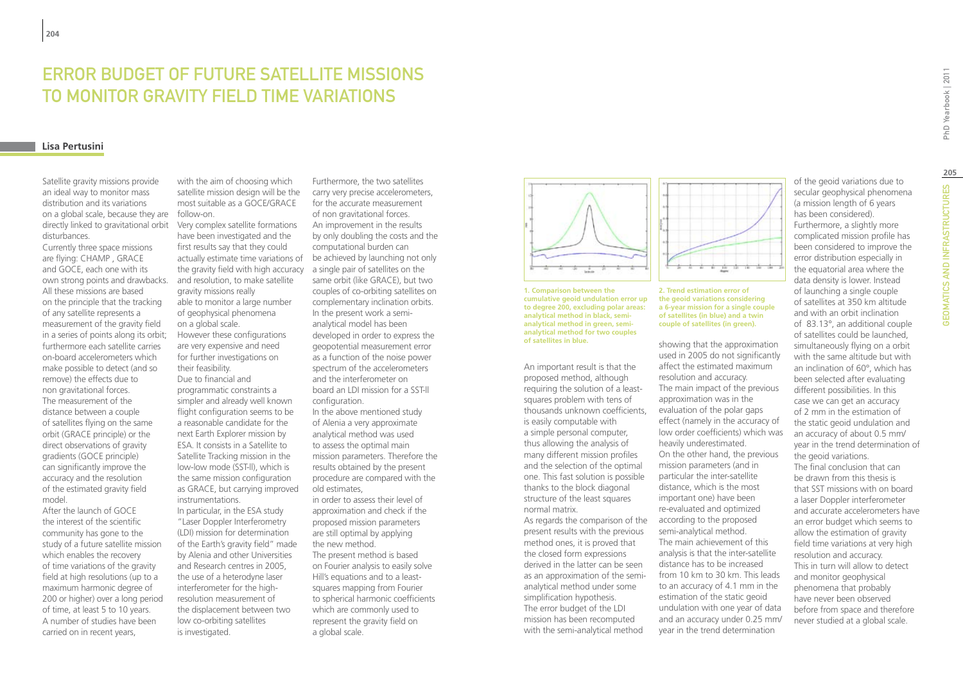# Error budget of future satellite missions to monitor gravity field time variations

#### **Lisa Pertusini**

Satellite gravity missions provide an ideal way to monitor mass distribution and its variations on a global scale, because they are follow-on. directly linked to gravitational orbit disturbances.

Currently three space missions are flying: CHAMP , GRACE and GOCE, each one with its own strong points and drawbacks. All these missions are based on the principle that the tracking of any satellite represents a measurement of the gravity field in a series of points along its orbit; furthermore each satellite carries on-board accelerometers which make possible to detect (and so remove) the effects due to non gravitational forces. The measurement of the distance between a couple of satellites flying on the same orbit (GRACE principle) or the direct observations of gravity gradients (GOCE principle) can significantly improve the accuracy and the resolution of the estimated gravity field model.

After the launch of GOCE the interest of the scientific community has gone to the study of a future satellite mission which enables the recovery of time variations of the gravity field at high resolutions (up to a maximum harmonic degree of 200 or higher) over a long period of time, at least 5 to 10 years. A number of studies have been carried on in recent years,

with the aim of choosing which satellite mission design will be the most suitable as a GOCE/GRACE

Very complex satellite formations have been investigated and the first results say that they could the gravity field with high accuracy a single pair of satellites on the and resolution, to make satellite gravity missions really able to monitor a large number of geophysical phenomena on a global scale. However these configurations are very expensive and need for further investigations on their feasibility. Due to financial and programmatic constraints a simpler and already well known flight configuration seems to be a reasonable candidate for the next Earth Explorer mission by ESA. It consists in a Satellite to Satellite Tracking mission in the low-low mode (SST-ll), which is the same mission configuration as GRACE, but carrying improved instrumentations.

In particular, in the ESA study "Laser Doppler Interferometry (LDI) mission for determination of the Earth's gravity field" made by Alenia and other Universities and Research centres in 2005, the use of a heterodyne laser interferometer for the highresolution measurement of the displacement between two low co-orbiting satellites is investigated.

actually estimate time variations of be achieved by launching not only Furthermore, the two satellites carry very precise accelerometers, for the accurate measurement of non gravitational forces. An improvement in the results by only doubling the costs and the computational burden can same orbit (like GRACE), but two couples of co-orbiting satellites on complementary inclination orbits. In the present work a semianalytical model has been developed in order to express the geopotential measurement error as a function of the noise power spectrum of the accelerometers and the interferometer on board an LDI mission for a SST-ll configuration. In the above mentioned study of Alenia a very approximate analytical method was used to assess the optimal main mission parameters. Therefore the results obtained by the present procedure are compared with the

> old estimates, in order to assess their level of approximation and check if the proposed mission parameters are still optimal by applying the new method. The present method is based on Fourier analysis to easily solve Hill's equations and to a leastsquares mapping from Fourier to spherical harmonic coefficients which are commonly used to represent the gravity field on a global scale.



**1. Comparison between the cumulative geoid undulation error up to degree 200, excluding polar areas: analytical method in black, semianalytical method in green, semianalytical method for two couples of satellites in blue.**

An important result is that the proposed method, although requiring the solution of a leastsquares problem with tens of thousands unknown coefficients, is easily computable with a simple personal computer, thus allowing the analysis of many different mission profiles and the selection of the optimal one. This fast solution is possible thanks to the block diagonal structure of the least squares normal matrix.

As regards the comparison of the present results with the previous method ones, it is proved that the closed form expressions derived in the latter can be seen as an approximation of the semianalytical method under some simplification hypothesis. The error budget of the LDI mission has been recomputed with the semi-analytical method



#### **2. Trend estimation error of the geoid variations considering a 6-year mission for a single couple of satellites (in blue) and a twin couple of satellites (in green).**

showing that the approximation used in 2005 do not significantly affect the estimated maximum resolution and accuracy. The main impact of the previous approximation was in the evaluation of the polar gaps effect (namely in the accuracy of low order coefficients) which was heavily underestimated. On the other hand, the previous mission parameters (and in particular the inter-satellite distance, which is the most important one) have been re-evaluated and optimized according to the proposed semi-analytical method. The main achievement of this analysis is that the inter-satellite distance has to be increased from 10 km to 30 km. This leads to an accuracy of 4.1 mm in the estimation of the static geoid undulation with one year of data and an accuracy under 0.25 mm/ year in the trend determination

of the geoid variations due to secular geophysical phenomena (a mission length of 6 years has been considered). Furthermore, a slightly more complicated mission profile has been considered to improve the error distribution especially in the equatorial area where the data density is lower. Instead of launching a single couple of satellites at 350 km altitude and with an orbit inclination of 83.13°, an additional couple of satellites could be launched, simultaneously flying on a orbit with the same altitude but with an inclination of 60°, which has been selected after evaluating different possibilities. In this case we can get an accuracy of 2 mm in the estimation of the static geoid undulation and an accuracy of about 0.5 mm/ year in the trend determination of the geoid variations. The final conclusion that can be drawn from this thesis is that SST missions with on board a laser Doppler interferometer and accurate accelerometers have an error budget which seems to allow the estimation of gravity field time variations at very high resolution and accuracy. This in turn will allow to detect and monitor geophysical phenomena that probably

have never been observed before from space and therefore never studied at a global scale.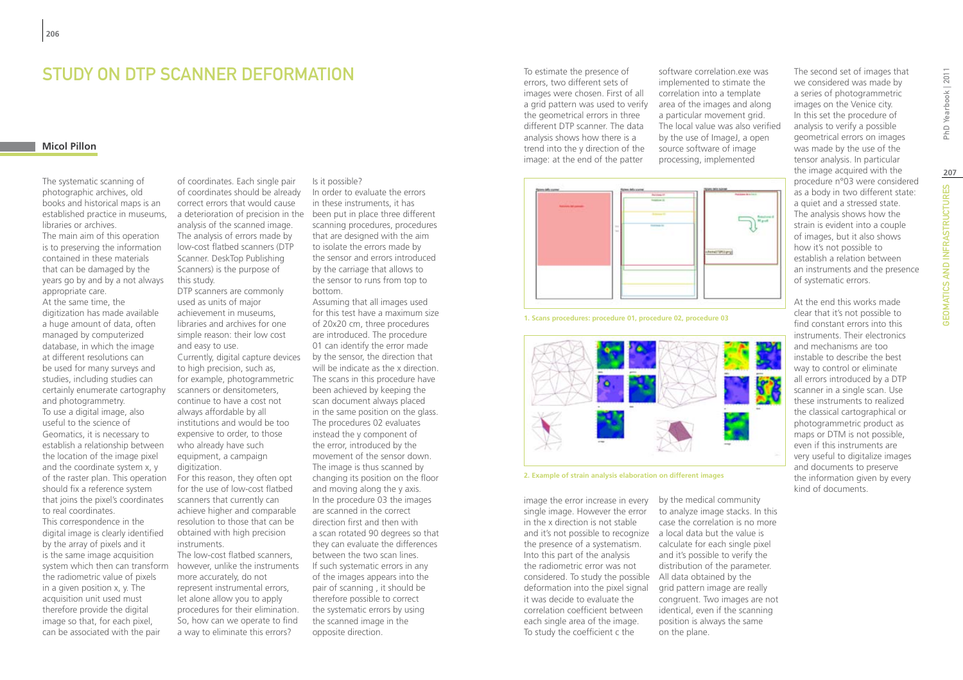### STUDY ON DTP SCANNER DEFORMATION

### **Micol Pillon**

The systematic scanning of photographic archives, old books and historical maps is an established practice in museums, libraries or archives. The main aim of this operation is to preserving the information contained in these materials that can be damaged by the years go by and by a not always appropriate care. At the same time, the digitization has made available a huge amount of data, often managed by computerized database, in which the image at different resolutions can be used for many surveys and studies, including studies can certainly enumerate cartography and photogrammetry. To use a digital image, also useful to the science of Geomatics, it is necessary to establish a relationship between the location of the image pixel and the coordinate system x, y of the raster plan. This operation should fix a reference system that joins the pixel's coordinates to real coordinates.

This correspondence in the digital image is clearly identified by the array of pixels and it is the same image acquisition system which then can transform the radiometric value of pixels in a given position x, y. The acquisition unit used must therefore provide the digital image so that, for each pixel, can be associated with the pair

of coordinates. Each single pair of coordinates should be already correct errors that would cause a deterioration of precision in the been put in place three different analysis of the scanned image. The analysis of errors made by low-cost flatbed scanners (DTP Scanner. DeskTop Publishing Scanners) is the purpose of this study.

DTP scanners are commonly used as units of major achievement in museums, libraries and archives for one simple reason: their low cost and easy to use. Currently, digital capture devices to high precision, such as, for example, photogrammetric scanners or densitometers, continue to have a cost not always affordable by all institutions and would be too expensive to order, to those who already have such equipment, a campaign digitization.

For this reason, they often opt for the use of low-cost flatbed scanners that currently can achieve higher and comparable resolution to those that can be obtained with high precision instruments.

The low-cost flatbed scanners, however, unlike the instruments more accurately, do not represent instrumental errors, let alone allow you to apply procedures for their elimination. So, how can we operate to find a way to eliminate this errors?

In order to evaluate the errors in these instruments, it has

Is it possible?

scanning procedures, procedures that are designed with the aim to isolate the errors made by the sensor and errors introduced by the carriage that allows to the sensor to runs from top to bottom.

Assuming that all images used for this test have a maximum size of 20x20 cm, three procedures are introduced. The procedure 01 can identify the error made by the sensor, the direction that will be indicate as the x direction. The scans in this procedure have been achieved by keeping the scan document always placed in the same position on the glass. The procedures 02 evaluates instead the y component of the error, introduced by the movement of the sensor down. The image is thus scanned by changing its position on the floor and moving along the y axis. In the procedure 03 the images are scanned in the correct direction first and then with a scan rotated 90 degrees so that they can evaluate the differences between the two scan lines. If such systematic errors in any of the images appears into the pair of scanning , it should be therefore possible to correct the systematic errors by using the scanned image in the opposite direction.

To estimate the presence of errors, two different sets of images were chosen. First of all a grid pattern was used to verify the geometrical errors in three different DTP scanner. The data analysis shows how there is a trend into the y direction of the image: at the end of the patter



images on the Venice city. In this set the procedure of analysis to verify a possible geometrical errors on images was made by the use of the tensor analysis. In particular the image acquired with the procedure n°03 were considered as a body in two different state: a quiet and a stressed state.  $\mathcal{L}$ 

The analysis shows how the strain is evident into a couple of images, but it also shows how it's not possible to establish a relation between an instruments and the presence

of systematic errors.

The second set of images that we considered was made by a series of photogrammetric

At the end this works made clear that it's not possible to find constant errors into this instruments. Their electronics and mechanisms are too instable to describe the best way to control or eliminate all errors introduced by a DTP scanner in a single scan. Use these instruments to realized the classical cartographical or photogrammetric product as maps or DTM is not possible, even if this instruments are very useful to digitalize images and documents to preserve the information given by every kind of documents.





**2. Example of strain analysis elaboration on different images**

image the error increase in every by the medical community single image. However the error in the x direction is not stable and it's not possible to recognize a local data but the value is the presence of a systematism. Into this part of the analysis the radiometric error was not considered. To study the possible All data obtained by the deformation into the pixel signal it was decide to evaluate the correlation coefficient between each single area of the image. To study the coefficient c the

to analyze image stacks. In this case the correlation is no more calculate for each single pixel and it's possible to verify the distribution of the parameter. grid pattern image are really congruent. Two images are not identical, even if the scanning position is always the same on the plane.

PhD Yearbook | 2011 GEOMATICS AND INFRASTRUCTURES PhD Yearbook | 2011 **207GEOMATICS AND INFRASTRUCTURES**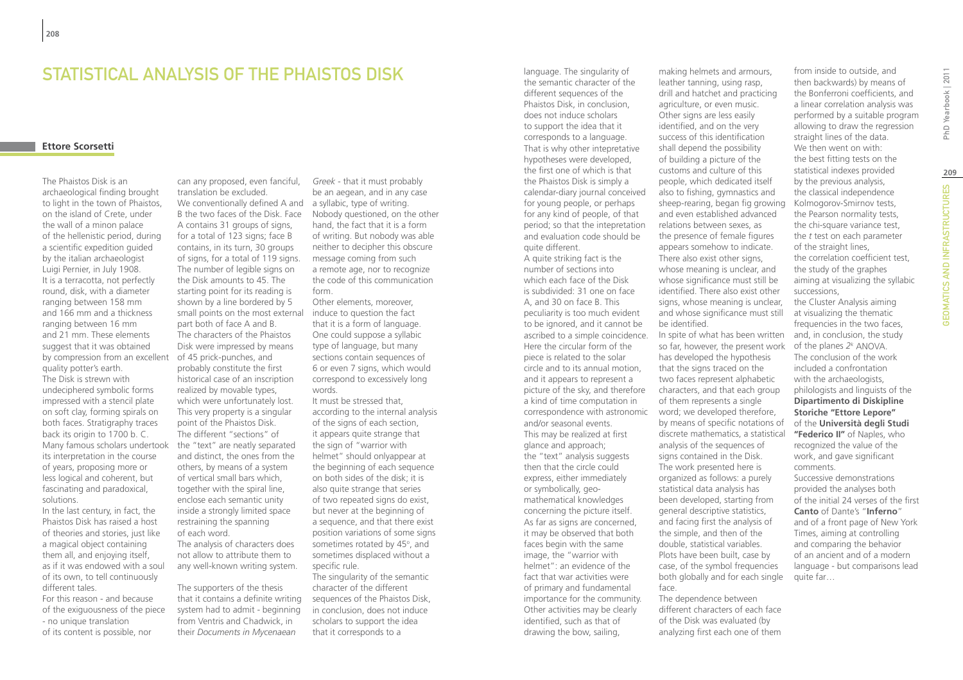### STATISTICAL ANALYSIS OF THE PHAISTOS DISK

### **Ettore Scorsetti**

by compression from an excellent of 45 prick-punches, and Many famous scholars undertook the "text" are neatly separated The Phaistos Disk is an archaeological finding brought to light in the town of Phaistos, on the island of Crete, under the wall of a minon palace of the hellenistic period, during a scientific expedition guided by the italian archaeologist Luigi Pernier, in July 1908. It is a terracotta, not perfectly round, disk, with a diameter ranging between 158 mm and 166 mm and a thickness ranging between 16 mm and 21 mm. These elements suggest that it was obtained quality potter's earth. The Disk is strewn with undeciphered symbolic forms impressed with a stencil plate on soft clay, forming spirals on both faces. Stratigraphy traces back its origin to 1700 b. C. its interpretation in the course of years, proposing more or less logical and coherent, but fascinating and paradoxical, solutions.

In the last century, in fact, the Phaistos Disk has raised a host of theories and stories, just like a magical object containing them all, and enjoying itself, as if it was endowed with a soul of its own, to tell continuously different tales.

For this reason - and because of the exiguousness of the piece - no unique translation of its content is possible, nor

can any proposed, even fanciful, translation be excluded. We conventionally defined A and a syllabic, type of writing. B the two faces of the Disk. Face A contains 31 groups of signs, for a total of 123 signs; face B contains, in its turn, 30 groups of signs, for a total of 119 signs. The number of legible signs on the Disk amounts to 45. The starting point for its reading is shown by a line bordered by 5 small points on the most external induce to question the fact part both of face A and B. The characters of the Phaistos Disk were impressed by means probably constitute the first historical case of an inscription realized by movable types, which were unfortunately lost. This very property is a singular point of the Phaistos Disk. The different "sections" of and distinct, the ones from the others, by means of a system of vertical small bars which, together with the spiral line, enclose each semantic unity inside a strongly limited space restraining the spanning of each word. The analysis of characters does not allow to attribute them to any well-known writing system.

The supporters of the thesis that it contains a definite writing system had to admit - beginning from Ventris and Chadwick, in their *Documents in Mycenaean* 

*Greek -* that it must probably be an aegean, and in any case Nobody questioned, on the other hand, the fact that it is a form of writing. But nobody was able neither to decipher this obscure message coming from such a remote age, nor to recognize the code of this communication form.

Other elements, moreover, that it is a form of language. One could suppose a syllabic type of language, but many sections contain sequences of 6 or even 7 signs, which would correspond to excessively long words.

It must be stressed that, according to the internal analysis of the signs of each section, it appears quite strange that the sign of "warrior with helmet" should onlyappear at the beginning of each sequence on both sides of the disk; it is also quite strange that series of two repeated signs do exist, but never at the beginning of a sequence, and that there exist position variations of some signs sometimes rotated by 45°, and sometimes displaced without a specific rule. The singularity of the semantic

character of the different sequences of the Phaistos Disk, in conclusion, does not induce scholars to support the idea that it corresponds to a

the semantic character of the different sequences of the Phaistos Disk, in conclusion, does not induce scholars to support the idea that it corresponds to a language. That is why other intepretative hypotheses were developed, the first one of which is that the Phaistos Disk is simply a calendar-diary journal conceived for young people, or perhaps for any kind of people, of that period; so that the intepretation and evaluation code should be quite different. A quite striking fact is the number of sections into which each face of the Disk is subdivided: 31 one on face A, and 30 on face B. This peculiarity is too much evident to be ignored, and it cannot be ascribed to a simple coincidence. Here the circular form of the piece is related to the solar circle and to its annual motion, and it appears to represent a picture of the sky, and therefore a kind of time computation in correspondence with astronomic word; we developed therefore, and/or seasonal events. This may be realized at first glance and approach; the "text" analysis suggests then that the circle could express, either immediately or symbolically, geomathematical knowledges concerning the picture itself. As far as signs are concerned, it may be observed that both faces begin with the same image, the "warrior with helmet": an evidence of the fact that war activities were of primary and fundamental importance for the community. Other activities may be clearly identified, such as that of drawing the bow, sailing,

language. The singularity of

leather tanning, using rasp, drill and hatchet and practicing agriculture, or even music. Other signs are less easily identified, and on the very success of this identification shall depend the possibility of building a picture of the customs and culture of this people, which dedicated itself also to fishing, gymnastics and sheep-rearing, began fig growing and even established advanced relations between sexes, as the presence of female figures appears somehow to indicate. There also exist other signs, whose meaning is unclear, and whose significance must still be identified. There also exist other signs, whose meaning is unclear, and whose significance must still be identified. In spite of what has been written so far, however, the present work has developed the hypothesis that the signs traced on the two faces represent alphabetic characters, and that each group of them represents a single by means of specific notations of discrete mathematics, a statistical analysis of the sequences of signs contained in the Disk. The work presented here is organized as follows: a purely statistical data analysis has been developed, starting from general descriptive statistics, and facing first the analysis of the simple, and then of the double, statistical variables. Plots have been built, case by case, of the symbol frequencies both globally and for each single face.

making helmets and armours,

The dependence between different characters of each face of the Disk was evaluated (by analyzing first each one of them

from inside to outside, and then backwards) by means of the Bonferroni coefficients, and a linear correlation analysis was performed by a suitable program allowing to draw the regression straight lines of the data. We then went on with: the best fitting tests on the statistical indexes provided by the previous analysis, the classical independence Kolmogorov-Smirnov tests, the Pearson normality tests, the chi-square variance test, the *t* test on each parameter of the straight lines, the correlation coefficient test, the study of the graphes aiming at visualizing the syllabic successions,

the Cluster Analysis aiming at visualizing the thematic frequencies in the two faces, and, in conclusion, the study of the planes *2k* ANOVA. The conclusion of the work included a confrontation with the archaeologists, philologists and linguists of the **Dipartimento di Diskipline Storiche "Ettore Lepore"** of the **Università degli Studi "Federico II"** of Naples, who recognized the value of the work, and gave significant comments.

Successive demonstrations provided the analyses both of the initial 24 verses of the first **Canto** of Dante's "**Inferno**" and of a front page of New York Times, aiming at controlling and comparing the behavior of an ancient and of a modern language - but comparisons lead quite far…

PhD Yearbook | 2011 **209**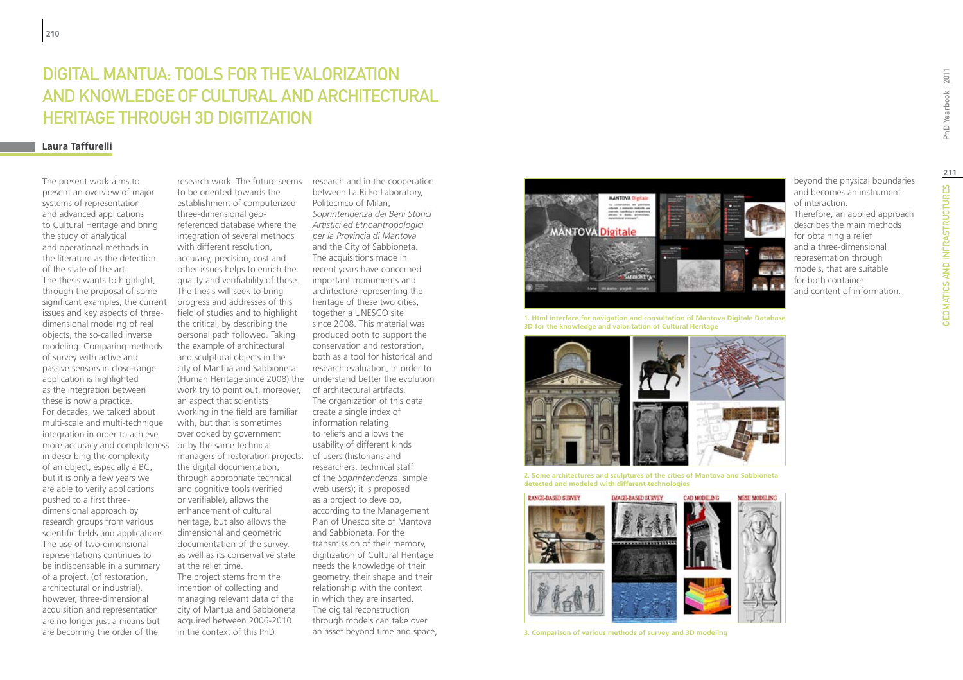# Digital Mantua: tools for the valorization and knowledge of Cultural and Architectural Heritage through 3D digitization

#### **Laura Taffurelli**

The present work aims to present an overview of major systems of representation and advanced applications to Cultural Heritage and bring the study of analytical and operational methods in the literature as the detection of the state of the art. The thesis wants to highlight. through the proposal of some significant examples, the current issues and key aspects of threedimensional modeling of real objects, the so-called inverse modeling. Comparing methods of survey with active and passive sensors in close-range application is highlighted as the integration between these is now a practice. For decades, we talked about multi-scale and multi-technique integration in order to achieve more accuracy and completeness or by the same technical in describing the complexity of an object, especially a BC, but it is only a few years we are able to verify applications pushed to a first threedimensional approach by research groups from various scientific fields and applications. The use of two-dimensional representations continues to be indispensable in a summary of a project, (of restoration, architectural or industrial), however, three-dimensional acquisition and representation are no longer just a means but are becoming the order of the

research work. The future seems to be oriented towards the establishment of computerized three-dimensional georeferenced database where the integration of several methods with different resolution, accuracy, precision, cost and other issues helps to enrich the quality and verifiability of these. The thesis will seek to bring progress and addresses of this field of studies and to highlight the critical, by describing the personal path followed. Taking the example of architectural and sculptural objects in the city of Mantua and Sabbioneta (Human Heritage since 2008) the understand better the evolution work try to point out, moreover, an aspect that scientists working in the field are familiar with, but that is sometimes overlooked by government managers of restoration projects: of users (historians and the digital documentation, through appropriate technical and cognitive tools (verified or verifiable), allows the enhancement of cultural heritage, but also allows the dimensional and geometric documentation of the survey, as well as its conservative state at the relief time. The project stems from the intention of collecting and managing relevant data of the city of Mantua and Sabbioneta

acquired between 2006-2010 in the context of this PhD

research and in the cooperation between La.Ri.Fo.Laboratory, Politecnico of Milan, *Soprintendenza dei Beni Storici Artistici ed Etnoantropologici per la Provincia di Mantova* and the City of Sabbioneta. The acquisitions made in recent years have concerned important monuments and architecture representing the heritage of these two cities, together a UNESCO site since 2008. This material was produced both to support the conservation and restoration, both as a tool for historical and research evaluation, in order to of architectural artifacts. The organization of this data create a single index of information relating to reliefs and allows the usability of different kinds researchers, technical staff of the *Soprintendenza*, simple web users); it is proposed as a project to develop, according to the Management Plan of Unesco site of Mantova and Sabbioneta. For the transmission of their memory, digitization of Cultural Heritage needs the knowledge of their geometry, their shape and their relationship with the context in which they are inserted. The digital reconstruction through models can take over an asset beyond time and space,



**1. Html interface for navigation and consultation of Mantova Digitale Database 3D for the knowledge and valoritation of Cultural Heritage**



**2. Some architectures and sculptures of the cities of Mantova and Sabbioneta detected and modeled with different technologies**



**3. Comparison of various methods of survey and 3D modeling**